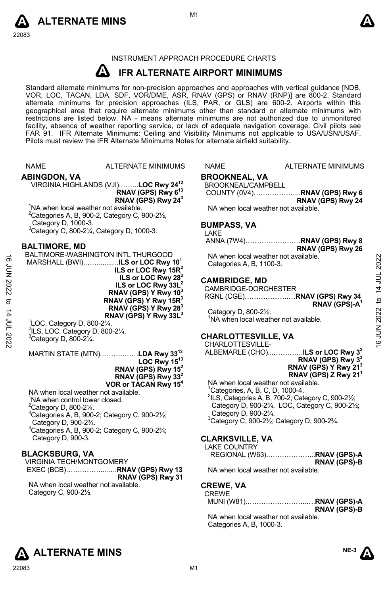



#### INSTRUMENT APPROACH PROCEDURE CHARTS

#### **A IFR ALTERNATE AIRPORT MINIMUMS**

Standard alternate minimums for non-precision approaches and approaches with vertical guidance [NDB,<br>VOR, LOC, TACAN, LDA, SDF, VOR/DME, ASR, RNAV (GPS) or RNAV (RNP)] are 800-2. Standard alternate minimums for precision approaches (ILS, PAR, or GLS) are 600-2. Airports within this geographical area that require alternate minimums other than standard or alternate minimums with restrictions are listed below. NA - means alternate minimums are not authorized due to unmonitored facility, absence of weather reporting service, or lack of adequate navigation coverage. Civil pilots see FAR 91. IFR Alternate Minimums: Ceiling and Visibility Minimums not applicable to USA/USN/USAF. Pilots must review the IFR Alternate Minimums Notes for alternate airfield suitability.

|                         | <b>NAME</b>                                      | <b>ALTERNATE MINIMUMS</b>                                                                                                                                                                                                                           | <b>NAME</b>                                         | <b>ALTERNATE MINIMUMS</b>                                                                                                                                                 |                           |
|-------------------------|--------------------------------------------------|-----------------------------------------------------------------------------------------------------------------------------------------------------------------------------------------------------------------------------------------------------|-----------------------------------------------------|---------------------------------------------------------------------------------------------------------------------------------------------------------------------------|---------------------------|
|                         | <b>ABINGDON, VA</b><br>Category D, 1000-3.       | VIRGINIA HIGHLANDS (VJI)LOC Rwy 24 <sup>12</sup><br>RNAV (GPS) Rwy 6 <sup>13</sup><br>RNAV (GPS) Rwy 24 <sup>3</sup><br><sup>1</sup> NA when local weather not available.<br><sup>2</sup> Categories A, B, 900-2, Category C, 900-2 $\frac{1}{2}$ , | <b>BROOKNEAL, VA</b><br>BROOKNEAL/CAMPBELL          | COUNTY (0V4)RNAV (GPS) Rwy 6<br>RNAV (GPS) Rwy 24<br>NA when local weather not available.                                                                                 |                           |
|                         |                                                  | $3$ Category C, 800-2 $\frac{1}{4}$ , Category D, 1000-3.                                                                                                                                                                                           | <b>BUMPASS, VA</b><br>LAKE                          |                                                                                                                                                                           |                           |
| ಕ                       | <b>BALTIMORE, MD</b>                             | BALTIMORE-WASHINGTON INTL THURGOOD                                                                                                                                                                                                                  |                                                     | ANNA (7W4)RNAV (GPS) Rwy 8<br>RNAV (GPS) Rwy 26<br>NA when local weather not available.                                                                                   |                           |
| 2002 NO                 |                                                  | MARSHALL (BWI) <b>ILS or LOC Rwy 10</b> <sup>1</sup><br>ILS or LOC Rwy 15 $R^2$<br>ILS or LOC Rwy $282$                                                                                                                                             | Categories A, B, 1100-3.<br><b>CAMBRIDGE, MD</b>    |                                                                                                                                                                           | 2022                      |
| ಠ                       |                                                  | ILS or LOC Rwy 33L <sup>2</sup><br>RNAV (GPS) Y Rwy 10 <sup>3</sup><br>RNAV (GPS) Y Rwy 15R <sup>3</sup><br>RNAV (GPS) Y Rwy 28 <sup>3</sup>                                                                                                        | CAMBRIDGE-DORCHESTER                                | RNAV (GPS)-A <sup>1</sup>                                                                                                                                                 | 14 JUL                    |
| $\sharp$<br>2007 - 2027 | $\degree$ LOC, Category D, 800-2 $\frac{1}{4}$ . | RNAV (GPS) Y Rwy 33L <sup>3</sup><br>$2$ ILS, LOC, Category D, 800-2 $\frac{1}{4}$ .                                                                                                                                                                | Category D, 800-21/2.<br><b>CHARLOTTESVILLE, VA</b> | <sup>1</sup> NA when local weather not available.                                                                                                                         | 2022<br>NUN <sub>16</sub> |
|                         | $3$ Category D, 800-2 $\frac{1}{4}$ .            | MARTIN STATE (MTN)LDA Rwy 33 <sup>12</sup>                                                                                                                                                                                                          | CHARLOTTESVILLE-                                    | ALBEMARLE (CHO)ILS or LOC Rwy 3 <sup>2</sup><br>RNAV (GPS) Rwy 3 <sup>3</sup>                                                                                             |                           |
|                         |                                                  | LOC Rwy $15^{13}$<br>RNAV (GPS) Rwy $15^2$<br>RNAV (GPS) Rwy 33 <sup>2</sup><br>VOR or TACAN Rwy 15 <sup>4</sup>                                                                                                                                    |                                                     | RNAV (GPS) Y Rwy 21 <sup>3</sup><br>RNAV (GPS) Z Rwy 21 <sup>1</sup><br>NA when local weather not available.                                                              |                           |
|                         | ${}^{2}$ Category D, 800-2 $\frac{1}{4}$ .       | NA when local weather not available.<br><sup>1</sup> NA when control tower closed.<br>$3$ Categories A, B, 900-2; Category C, 900-2 $\frac{1}{2}$ ;                                                                                                 | Category D, 900-23/4.                               | <sup>1</sup> Categories, A, B, C, D, 1000-4.<br>$^{2}$ ILS, Categories A, B, 700-2; Category C, 900-2 $\frac{1}{2}$ ;<br>Category D, 900-23/4. LOC, Category C, 900-21/2; |                           |
|                         | Category D, 900-23/4.<br>Category D, 900-3.      | <sup>4</sup> Categories A, B, 900-2; Category C, 900-23/4;                                                                                                                                                                                          | <b>CLARKSVILLE, VA</b>                              | <sup>3</sup> Category C, 900-21/ <sub>2</sub> ; Category D, 900-23/4.                                                                                                     |                           |

#### **BLACKSBURG, VA**

VIRGINIA TECH/MONTGOMERY EXEC (BCB)……………....….**RNAV (GPS) Rwy 13 RNAV (GPS) Rwy 31**  NA when local weather not available. Category C, 900-2½.

#### TERNATE MINIMUMS

#### **CLARKSVILLE, VA**

LAKE COUNTRY REGIONAL (W63).………………...**RNAV (GPS)-A RNAV (GPS)-B**  NA when local weather not available.

#### **CREWE, VA**  CREWE

| <b>∠REVVE</b> |                     |
|---------------|---------------------|
|               |                     |
|               | <b>RNAV (GPS)-B</b> |

NA when local weather not available. Categories A, B, 1000-3.



# **ALTERNATE MINS** ALTERNATE MINS

**NE-3**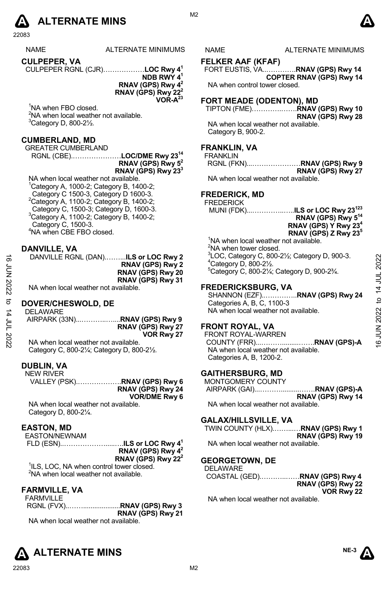

ALTERNATE MINIMUMS NAME ALTERNATE MINIMUMS

**CULPEPER, VA**  CULPEPER RGNL (CJR)………………**LOC Rwy 41**

**NDB RWY 41 RNAV (GPS) Rwy 42 RNAV (GPS) Rwy 222 VOR-A23** 

<sup>1</sup>NA when FBO closed. <sup>2</sup>NA when local weather not available.  $3$ Category D, 800-2 $\frac{1}{2}$ .

#### **CUMBERLAND, MD**

GREATER CUMBERLAND

RGNL (CBE).…………………**LOC/DME Rwy 2314 RNAV (GPS) Rwy 52**

**RNAV (GPS) Rwy 233**

NA when local weather not available.  ${}^{1}$ Category A, 1000-2; Category B, 1400-2; Category C 1500-3, Category D 1600-3.  $2$ Category A, 1100-2; Category B, 1400-2; Category C, 1500-3; Category D, 1600-3. 3 Category A, 1100-2; Category B, 1400-2; Category C, 1500-3. 4 NA when CBE FBO closed.

#### **DANVILLE, VA**

DANVILLE RGNL (DAN).……...**ILS or LOC Rwy 2 RNAV (GPS) Rwy 2 RNAV (GPS) Rwy 20 RNAV (GPS) Rwy 31**  NA when local weather not available.

### **DOVER/CHESWOLD, DE**

DELAWARE AIRPARK (33N)...………..…....**RNAV (GPS) Rwy 9 RNAV (GPS) Rwy 27 VOR Rwy 27**  NA when local weather not available.  $\frac{1}{2}$ <br>  $\frac{1}{2}$ <br>  $\frac{1}{2}$ <br>
RNAV (GPS) Rwy 20<br>
RNAV (GPS) Rwy 20<br>
RNAV (GPS) Rwy 20<br>
RNAV (GPS) Rwy 31<br>
FREDERICKSBURG, VA<br>
SHAW CRS Rwy 31<br>
DOVER/CHESWOLD, DE<br>
DELAWARE<br>
AIRPARK (33N)................................

Category C, 800-2¼; Category D, 800-2½.

#### **DUBLIN, VA**

NEW RIVER VALLEY (PSK).……………….**RNAV (GPS) Rwy 6 RNAV (GPS) Rwy 24 VOR/DME Rwy 6** 

NA when local weather not available. Category D, 800-2¼.

#### **EASTON, MD**

EASTON/NEWNAM

 FLD (ESN)..……………….....….**ILS or LOC Rwy 41 RNAV (GPS) Rwy 42** 

**RNAV (GPS) Rwy 222** 

<sup>1</sup>ILS, LOC, NA when control tower closed. <sup>2</sup>NA when local weather not available.

#### **FARMVILLE, VA**

FARMVILLE RGNL (FVX)..……....................**RNAV (GPS) Rwy 3 RNAV (GPS) Rwy 21**  NA when local weather not available.

M<sub>2</sub>

### **FELKER AAF (KFAF)**

FORT EUSTIS, VA..………….**RNAV (GPS) Rwy 14 COPTER RNAV (GPS) Rwy 14**  NA when control tower closed.

#### **FORT MEADE (ODENTON), MD**

TIPTON (FME)………….…….**RNAV (GPS) Rwy 10 RNAV (GPS) Rwy 28**  NA when local weather not available.

Category B, 900-2.

#### **FRANKLIN, VA**

FRANKLIN RGNL (FKN)...…………………**RNAV (GPS) Rwy 9 RNAV (GPS) Rwy 27** 

NA when local weather not available.

#### **FREDERICK, MD**

FREDERICK

MUNI (FDK)...…………..…..**ILS or LOC Rwy 23123 RNAV (GPS) Rwy 514 RNAV (GPS) Y Rwy 234 RNAV (GPS) Z Rwy 235**

<sup>1</sup>NA when local weather not available. <sup>2</sup>NA when tower closed.  ${}^{3}$ LOC, Category C, 800-21/<sub>2</sub>; Category D, 900-3.  $4$ Category D, 800-2 $\frac{1}{2}$ . 5 Category C, 800-2¼; Category D, 900-2¾.

#### **FREDERICKSBURG, VA**

SHANNON (EZF)..…………..**RNAV (GPS) Rwy 24**  Categories A, B, C, 1100-3 NA when local weather not available.

## **FRONT ROYAL, VA**

FRONT ROYAL-WARREN COUNTY (FRR)...……….........…….**RNAV (GPS)-A**  NA when local weather not available. Categories A, B, 1200-2.

### **GAITHERSBURG, MD**

MONTGOMERY COUNTY AIRPARK (GAI)...………..........…….**RNAV (GPS)-A RNAV (GPS) Rwy 14** 

NA when local weather not available.

#### **GALAX/HILLSVILLE, VA**

TWIN COUNTY (HLX).……...…**RNAV (GPS) Rwy 1 RNAV (GPS) Rwy 19**  NA when local weather not available.

#### **GEORGETOWN, DE**

DELAWARE COASTAL (GED).………..……**RNAV (GPS) Rwy 4 RNAV (GPS) Rwy 22 VOR Rwy 22** 

NA when local weather not available.





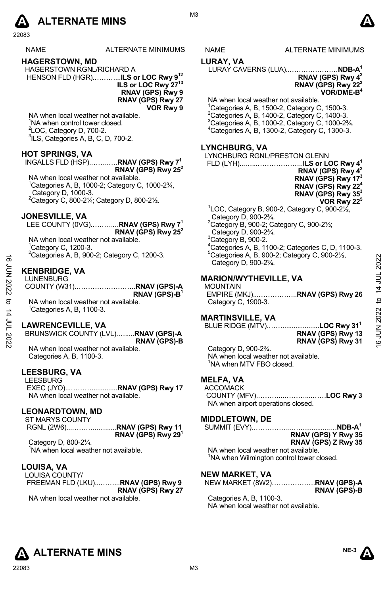

#### NAME ALTERNATE MINIMUMS NAME ALTERNATE MINIMUMS

#### **HAGERSTOWN, MD**

HAGERSTOWN RGNL/RICHARD A HENSON FLD (HGR).………...**ILS or LOC Rwy 912**

**ILS or LOC Rwy 2713 RNAV (GPS) Rwy 9 RNAV (GPS) Rwy 27 VOR Rwy 9** 

NA when local weather not available. <sup>1</sup>NA when control tower closed.  $2$ LOC, Category D, 700-2. 3 ILS, Categories A, B, C, D, 700-2.

#### **HOT SPRINGS, VA**

#### INGALLS FLD (HSP).……..….**RNAV (GPS) Rwy 71 RNAV (GPS) Rwy 252**

NA when local weather not available.  $1$ Categories A, B, 1000-2; Category C, 1000-2 $\frac{3}{4}$ , Category D, 1000-3. 2 Category C, 800-2¼; Category D, 800-2½.

#### **JONESVILLE, VA**

|                                      | LEE COUNTY (0VG)RNAV (GPS) Rwy 7 <sup>1</sup> |
|--------------------------------------|-----------------------------------------------|
|                                      | RNAV (GPS) Rwy 25 <sup>2</sup>                |
| NA when local weather not available. |                                               |
| $^1$ Category C. 1200-3              |                                               |

'Category C, 1200-3.<br><sup>2</sup>Categories A, B, 900-2; Category C, 1200-3.

#### **KENBRIDGE, VA**

| ಹೆ     | Calegories A, B, 900-2, Calegory C, 1200-3. | Calegories A, B, $900-Z$ , Calegory C, $900-Z/z$ ,<br>Category D, 900-2 <sup>3</sup> / <sub>4</sub> . | 2022           |
|--------|---------------------------------------------|-------------------------------------------------------------------------------------------------------|----------------|
| ξ<br>Σ | <b>KENBRIDGE, VA</b>                        |                                                                                                       |                |
| 2022   | <b>LUNENBURG</b>                            | <b>MARION/WYTHEVILLE, VA</b><br><b>MOUNTAIN</b>                                                       |                |
|        | RNAV (GPS)-B <sup>1</sup>                   | EMPIRE (MKJ)RNAV (GPS) Rwy 26                                                                         | $\overline{4}$ |
| ನ      | NA when local weather not available.        | Category C, 1900-3.                                                                                   | ₫              |
| 4      | <sup>1</sup> Categories A. B. 1100-3.       |                                                                                                       | 2022           |
|        |                                             | <b>MARTINSVILLE, VA</b>                                                                               |                |
| ξ      | <b>LAWRENCEVILLE, VA</b>                    | BLUE RIDGE (MTV)LOC Rwy 31 <sup>1</sup>                                                               |                |
|        | BRUNSWICK COUNTY (LVL)RNAV (GPS)-A          | RNAV (GPS) Rwy 13                                                                                     | NUN 91         |
| 2022   | <b>RNAV (GPS)-B</b>                         | RNAV (GPS) Rwy 31                                                                                     |                |
|        | $\blacksquare$                              | $0.4 - 0.00003$                                                                                       |                |

#### **LAWRENCEVILLE, VA**

NA when local weather not available. Categories A, B, 1100-3.

#### **LEESBURG, VA**

LEESBURG EXEC (JYO)...………..............**RNAV (GPS) Rwy 17**  NA when local weather not available.

#### **LEONARDTOWN, MD**

ST MARYS COUNTY RGNL (2W6)...………...…......**RNAV (GPS) Rwy 11 RNAV (GPS) Rwy 291** 

Category D, 800-2¼.

<sup>1</sup>NA when local weather not available.

#### **LOUISA, VA**

LOUISA COUNTY/ FREEMAN FLD (LKU)...……...**RNAV (GPS) Rwy 9 RNAV (GPS) Rwy 27** 

NA when local weather not available.

M3

#### **LURAY, VA**

LURAY CAVERNS (LUA)..…………………**NDB-A1**

#### **RNAV (GPS) Rwy 42 RNAV (GPS) Rwy 223**

## **VOR/DME-B4**

NA when local weather not available.  $1$ Categories A, B, 1500-2, Category C, 1500-3. <sup>2</sup> Categories A, B, 1400-2, Category C, 1400-3.<br><sup>3</sup> Categories A, B, 1000-2, Category C, 1000-2¾.<br><sup>4</sup> Cetegories A, B, 1200-2, Cetegory C, 1200-2 Categories A, B, 1300-2, Category C, 1300-3.

#### **LYNCHBURG, VA**

LYNCHBURG RGNL/PRESTON GLENN FLD (LYH)...…...………………..**ILS or LOC Rwy 41 RNAV (GPS) Rwy 42 RNAV (GPS) Rwy 173 RNAV (GPS) Rwy 224 RNAV (GPS) Rwy 353 VOR Rwy 225** 

 $1$ LOC, Category B, 900-2, Category C, 900-2 $\frac{1}{2}$ , Category D, 900-2¾. 2 Category B, 900-2; Category C, 900-2½; Category D, 900-2¾.  $3$ Category B, 900-2. <sup>4</sup> Categories A, B, 1100-2; Categories C, D, 1100-3.  $5$ Categories A, B, 900-2; Category C, 900-2 $\frac{1}{2}$ , Category D, 900-2¾.

#### **MARION/WYTHEVILLE, VA**

### MOUNTAIN

#### **MARTINSVILLE, VA**

Category D, 900-2¾. NA when local weather not available. <sup>1</sup>NA when MTV FBO closed.

#### **MELFA, VA**

ACCOMACK COUNTY (MFV).………...………....……**LOC Rwy 3** NA when airport operations closed.

#### **MIDDLETOWN, DE**

|  | RNAV (GPS) Y Rwy 35 |
|--|---------------------|
|  | RNAV (GPS) Z Rwy 35 |

NA when local weather not available. <sup>1</sup>NA when Wilmington control tower closed.

#### **NEW MARKET, VA**

| NEW MARKET (8W2)RNAV (GPS)-A |                     |  |
|------------------------------|---------------------|--|
|                              | <b>RNAV (GPS)-B</b> |  |

Categories A, B, 1100-3. NA when local weather not available.

# **ALTERNATE MINS**  $^{\text{NE-3}}$   $\Lambda$

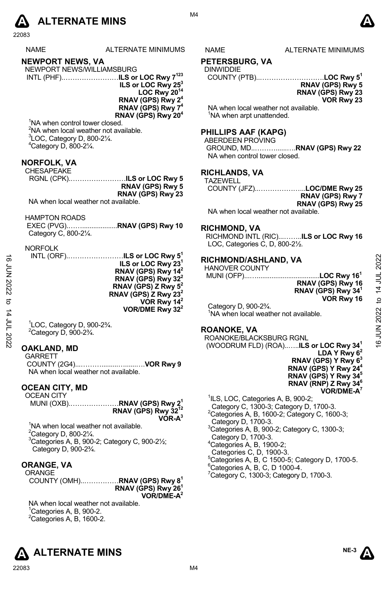

| <b>NAME</b> | <b>ALTERNATE MINIMUM</b> |
|-------------|--------------------------|
|             |                          |

# **NEWPORT NEWS, VA**

| NEWPORT NEWS/WILLIAMSBURG |                                           |
|---------------------------|-------------------------------------------|
|                           | INTL (PHF)ILS or LOC Rwy 7 <sup>123</sup> |

**ILS or LOC Rwy 253 LOC Rwy 2014 RNAV (GPS) Rwy 24 RNAV (GPS) Rwy 74 RNAV (GPS) Rwy 204** 

<sup>1</sup>NA when control tower closed.  $2$ NA when local weather not available.  ${}^{3}$ LOC, Category D, 800-2 $\frac{1}{4}$ . 4 Category D, 800-2¼.

# **NORFOLK, VA**  CHESAPEAKE

| UI ILUAF LANL                        |  |
|--------------------------------------|--|
|                                      |  |
| RNAV (GPS) Rwy 5                     |  |
| RNAV (GPS) Rwy 23                    |  |
| NA when local weather not available. |  |

HAMPTON ROADS

| Category C, 800-21/4. |  |
|-----------------------|--|

NORFOLK

| ಹೆ<br>ξ<br>Σ<br>I2022<br>ನ<br>4 | INTL (ORF)ILS or LOC Rwy 5 <sup>1</sup><br>ILS or LOC Rwy 23 <sup>1</sup><br>RNAV (GPS) Rwy 14 <sup>2</sup><br>RNAV (GPS) Rwy 32 <sup>2</sup><br>RNAV (GPS) Z Rwy 5 <sup>2</sup><br>RNAV (GPS) Z Rwy 23 <sup>2</sup><br>VOR Rwy 14 <sup>2</sup><br>VOR/DME Rwy $32^2$ | RICHMOND/ASHLAND, VA<br><b>HANOVER COUNTY</b><br>RNAV (GPS) Rwy 16<br>RNAV (GPS) Rwy 34 <sup>1</sup><br>VOR Rwy 16<br>Category D, 900-23/4.<br><sup>1</sup> NA when local weather not available. | 2022<br>14 JUL<br>$\overline{a}$<br>2022 |
|---------------------------------|-----------------------------------------------------------------------------------------------------------------------------------------------------------------------------------------------------------------------------------------------------------------------|--------------------------------------------------------------------------------------------------------------------------------------------------------------------------------------------------|------------------------------------------|
| ξ<br>2022                       | <sup>1</sup> LOC, Category D, 900-23/4.<br>$2$ Category D, 900-2 $\frac{3}{4}$ .                                                                                                                                                                                      | <b>ROANOKE, VA</b><br>ROANOKE/BLACKSBURG RGNL                                                                                                                                                    |                                          |
|                                 | <b>OAVIAND MD</b>                                                                                                                                                                                                                                                     | (WOODRUM FLD) (ROA) <b>ILS or LOC Rwy 34<sup>1</sup></b>                                                                                                                                         | $\frac{6}{5}$                            |

#### **OAKLAND, MD**

GARRETT COUNTY (2G4)...……….........…......….**VOR Rwy 9**  NA when local weather not available.

#### **OCEAN CITY, MD**

OCEAN CITY MUNI (OXB).…………………**RNAV (GPS) Rwy 21 RNAV (GPS) Rwy 3212 VOR-A3**

<sup>1</sup>NA when local weather not available.  $2^2$ Category D, 800-2 $\frac{1}{4}$ .  $3$ Categories A, B, 900-2; Category C, 900-2 $\frac{1}{2}$ ; Category D, 900-2¾.

### **ORANGE, VA**

**ORANGE** COUNTY (OMH)..……………**RNAV (GPS) Rwy 81 RNAV (GPS) Rwy 261 VOR/DME-A2** 

NA when local weather not available.  $1$ Categories A, B, 900-2.  ${}^{2}$ Categories A, B, 1600-2.





M4

S NAME ALTERNATE MINIMUMS

#### **PETERSBURG, VA**

DINWIDDIE

COUNTY (PTB)..……………………….**LOC Rwy 51 RNAV (GPS) Rwy 5 RNAV (GPS) Rwy 23** 

**VOR Rwy 23** 

NA when local weather not available. <sup>1</sup>NA when arpt unattended.

#### **PHILLIPS AAF (KAPG)**

ABERDEEN PROVING GROUND, MD..………......….**RNAV (GPS) Rwy 22**  NA when control tower closed.

#### **RICHLANDS, VA**

| <b>TAZEWELL</b> |                            |
|-----------------|----------------------------|
|                 | COUNTY (JFZ)LOC/DME Rwy 25 |
|                 | RNAV (GPS) Rwy 7           |
|                 | RNAV (GPS) Rwy 25          |

NA when local weather not available.

#### **RICHMOND, VA**

RICHMOND INTL (RIC)...……..**ILS or LOC Rwy 16**  LOC, Categories C, D, 800-21/2.

#### **RICHMOND/ASHLAND, VA**

| <b>HANOVER COUNTY</b> |                                |
|-----------------------|--------------------------------|
|                       |                                |
|                       | RNAV (GPS) Rwy 16              |
|                       | RNAV (GPS) Rwy 34 <sup>1</sup> |
|                       | VOR Rwy 16                     |

#### **ROANOKE, VA**

 (WOODRUM FLD) (ROA)..…..**ILS or LOC Rwy 341 LDA Y Rwy 62 RNAV (GPS) Y Rwy 63 RNAV (GPS) Y Rwy 244 RNAV (GPS) Y Rwy 345 RNAV (RNP) Z Rwy 346 VOR/DME-A7** 

<sup>1</sup>ILS, LOC, Categories A, B, 900-2;

- Category C, 1300-3; Category D, 1700-3.
- $2$ Categories A, B, 1600-2; Category C, 1600-3; Category D, 1700-3.
- 3 Categories A, B, 900-2; Category C, 1300-3; Category D, 1700-3.
- 4 Categories A, B, 1900-2;
- Categories C, D, 1900-3.
- <sup>5</sup>Categories A, B, C 1500-5; Category D, 1700-5.<br><u><sup>6</sup>Categories A, B, C, D 1000-4.</u>
- 
- $7$ Category C, 1300-3; Category D, 1700-3.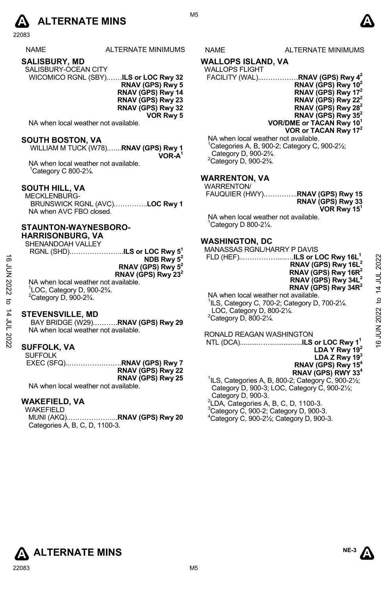

NAME ALTERNATE MINIMUMS NAME ALTERNATE MINIMUMS

**SALISBURY, MD** 

SALISBURY-OCEAN CITY WICOMICO RGNL (SBY).……**ILS or LOC Rwy 32 RNAV (GPS) Rwy 5** 

**RNAV (GPS) Rwy 14 RNAV (GPS) Rwy 23 RNAV (GPS) Rwy 32 VOR Rwy 5** 

NA when local weather not available.

#### **SOUTH BOSTON, VA**

WILLIAM M TUCK (W78).…...**RNAV (GPS) Rwy 1 VOR-A1** 

NA when local weather not available. 1Category C 800-2¼.

#### **SOUTH HILL, VA**

MECKLENBURG-BRUNSWICK RGNL (AVC).…………..**LOC Rwy 1**  NA when AVC FBO closed.

#### **STAUNTON-WAYNESBORO-**

**HARRISONBURG, VA**  SHENANDOAH VALLEY

| ƏNEINAINDUAN VALLET                     |                                |
|-----------------------------------------|--------------------------------|
| RGNL (SHD)ILS or LOC Rwy 5 <sup>1</sup> |                                |
|                                         | NDB Rwy $5^2$                  |
|                                         | RNAV (GPS) Rwy 5 <sup>2</sup>  |
|                                         | RNAV (GPS) Rwy 23 <sup>2</sup> |

#### **STEVENSVILLE, MD**

#### **SUFFOLK, VA**

| <b>SUFFOLK</b> |                   |
|----------------|-------------------|
|                |                   |
|                | RNAV (GPS) Rwy 22 |
|                | RNAV (GPS) Rwy 25 |

### **WAKEFIELD, VA**

WAKEFIELD MUNI (AKQ)..………………...**RNAV (GPS) Rwy 20**  Categories A, B, C, D, 1100-3.



M5

#### **WALLOPS ISLAND, VA**

#### WALLOPS FLIGHT

|                                                       | FACILITY (WAL)RNAV (GPS) Rwy 4 <sup>2</sup> |
|-------------------------------------------------------|---------------------------------------------|
|                                                       | RNAV (GPS) Rwy $10^2$                       |
|                                                       | RNAV (GPS) Rwy $172$                        |
|                                                       | RNAV (GPS) Rwy $22^2$                       |
|                                                       | RNAV (GPS) Rwy $28^2$                       |
|                                                       | RNAV (GPS) Rwy $35^2$                       |
|                                                       | VOR/DME or TACAN Rwy 10 <sup>1</sup>        |
|                                                       | VOR or TACAN Rwy 17 <sup>2</sup>            |
| NTA code e de la calciona externa esta acontrata tele |                                             |

NA when local weather not available.<br><sup>1</sup>Cetegories A, B, 900.2: Cetegory C. Categories A, B, 900-2; Category C, 900-2½; Category D, 900-2¾.  $2$ Category D, 900-2 $\frac{3}{4}$ .

#### **WARRENTON, VA**

| .<br><b>WARRENTON/</b><br>FAUQUIER (HWY) <b>RNAV (GPS) Rwy 15</b>                     | RNAV (GPS) Rwy 33<br>VOR Rwy 15 <sup>1</sup> |
|---------------------------------------------------------------------------------------|----------------------------------------------|
| NA when local weather not available.<br><sup>1</sup> Category D 800-2 $\frac{1}{4}$ . |                                              |
| <b>WASHINGTON, DC</b><br>MANASSAS RGNI /HARRY P DAVIS                                 |                                              |

|                      | SHENANDOAH VALLEY                                                                                                                                                                    | <b>WASHINGTON, DC</b><br><b>MANASSAS RGNL/HARRY P DAVIS</b>                                                                                                                          |             |
|----------------------|--------------------------------------------------------------------------------------------------------------------------------------------------------------------------------------|--------------------------------------------------------------------------------------------------------------------------------------------------------------------------------------|-------------|
| ಕ<br><b>LIN 2022</b> | NDB Rwy $5^2$<br>RNAV (GPS) Rwy $5^2$<br>RNAV (GPS) Rwy 23 <sup>2</sup><br>NA when local weather not available.<br><sup>1</sup> LOC, Category D, 900-2 <sup>3</sup> / <sub>4</sub> . | FLD (HEF)ILS or LOC Rwy 16L <sup>1</sup><br>RNAV (GPS) Rwy 16L <sup>2</sup><br>RNAV (GPS) Rwy 16R <sup>2</sup><br>RNAV (GPS) Rwy 34L <sup>2</sup><br>RNAV (GPS) Rwy 34R <sup>2</sup> | 14 JUL 2022 |
| ನ                    | $2$ Category D. 900-2 $\frac{3}{4}$ .                                                                                                                                                | NA when local weather not available.<br>$\frac{1}{1}$ ILS, Category C, 700-2; Category D, 700-2 $\frac{1}{4}$ .                                                                      | ೆ           |
| ות ^ון               | <b>STEVENSVILLE, MD</b><br>BAY BRIDGE (W29)RNAV (GPS) Rwy 29                                                                                                                         | LOC, Category D, 800-21/4.<br><sup>2</sup> Category D, 800-21/4.                                                                                                                     | 2022        |
| 2022                 | NA when local weather not available.                                                                                                                                                 | RONALD REAGAN WASHINGTON                                                                                                                                                             | NT 91       |
|                      | <b>SUFFOLK, VA</b>                                                                                                                                                                   | LDA Y Rwy $192$                                                                                                                                                                      |             |
|                      | <b>SUFFOLK</b>                                                                                                                                                                       | LDA Z Rwy $193$<br>RNAV (GPS) Rwy 15 <sup>4</sup>                                                                                                                                    |             |
|                      | RNAV (GPS) Rwy 22<br>RNAV (GPS) Rwy 25                                                                                                                                               | RNAV (GPS) RWY 33 <sup>4</sup><br>${}^{1}$ ILS, Categories A, B, 800-2; Category C, 900-2 $\frac{1}{2}$ ;                                                                            |             |
|                      | NA when local weather not available.                                                                                                                                                 | Category D. 900-3: LOC. Category C. 900-214:                                                                                                                                         |             |

Category D, 900-3; LOC, Category C, 900-2½; Category D, 900-3. 2 LDA, Categories A, B, C, D, 1100-3. 3 Category C, 900-2; Category D, 900-3. 4 Category C, 900-2½; Category D, 900-3.

**ALTERNATE MINS** ALTERNATE MINS